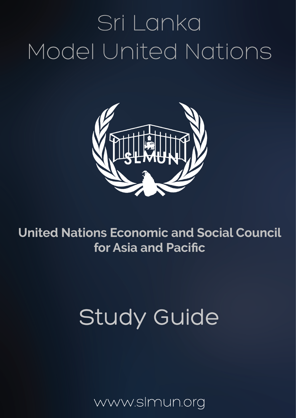# Sri Lanka Model United Nations



**United Nations Economic and Social Council** for Asia and Pacific

## **Study Guide**

ww.slmun.org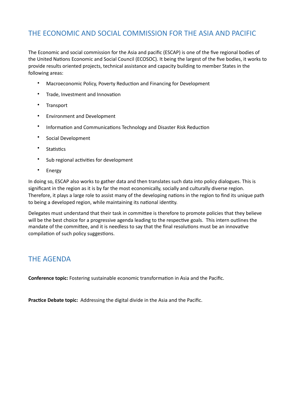## THE ECONOMIC AND SOCIAL COMMISSION FOR THE ASIA AND PACIFIC

The Economic and social commission for the Asia and pacific (ESCAP) is one of the five regional bodies of the United Nations Economic and Social Council (ECOSOC). It being the largest of the five bodies, it works to provide results oriented projects, technical assistance and capacity building to member States in the following areas:

- Macroeconomic Policy, Poverty Reduction and Financing for Development
- Trade, Investment and Innovation
- Transport
- Environment and Development
- Information and Communications Technology and Disaster Risk Reduction
- Social Development
- Statistics
- Sub regional activities for development
- Energy

In doing so, ESCAP also works to gather data and then translates such data into policy dialogues. This is significant in the region as it is by far the most economically, socially and culturally diverse region. Therefore, it plays a large role to assist many of the developing nations in the region to find its unique path to being a developed region, while maintaining its national identity.

Delegates must understand that their task in committee is therefore to promote policies that they believe will be the best choice for a progressive agenda leading to the respective goals. This intern outlines the mandate of the committee, and it is needless to say that the final resolutions must be an innovative compilation of such policy suggestions.

### **THE AGENDA**

**Conference topic:** Fostering sustainable economic transformation in Asia and the Pacific.

Practice Debate topic: Addressing the digital divide in the Asia and the Pacific.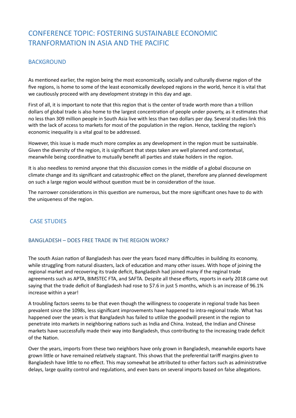## CONFERENCE TOPIC: FOSTERING SUSTAINABLE FCONOMIC TRANFORMATION IN ASIA AND THE PACIFIC

#### **BACKGROUND**

As mentioned earlier, the region being the most economically, socially and culturally diverse region of the five regions, is home to some of the least economically developed regions in the world, hence it is vital that we cautiously proceed with any development strategy in this day and age.

First of all, it is important to note that this region that is the center of trade worth more than a trillion dollars of global trade is also home to the largest concentration of people under poverty, as it estimates that no less than 309 million people in South Asia live with less than two dollars per day. Several studies link this with the lack of access to markets for most of the population in the region. Hence, tackling the region's economic inequality is a vital goal to be addressed.

However, this issue is made much more complex as any development in the region must be sustainable. Given the diversity of the region, it is significant that steps taken are well planned and contextual, meanwhile being coordinative to mutually benefit all parties and stake holders in the region.

It is also needless to remind anyone that this discussion comes in the middle of a global discourse on climate change and its significant and catastrophic effect on the planet, therefore any planned development on such a large region would without question must be in consideration of the issue.

The narrower considerations in this question are numerous, but the more significant ones have to do with the uniqueness of the region.

#### **CASE STUDIES**

#### BANGLADESH - DOES FREE TRADE IN THE REGION WORK?

The south Asian nation of Bangladesh has over the years faced many difficulties in building its economy, while struggling from natural disasters, lack of education and many other issues. With hope of joining the regional market and recovering its trade deficit, Bangladesh had joined many if the reginal trade agreements such as APTA, BIMSTEC FTA, and SAFTA. Despite all these efforts, reports in early 2018 came out saying that the trade deficit of Bangladesh had rose to \$7.6 in just 5 months, which is an increase of 96.1% increase within a year!

A troubling factors seems to be that even though the willingness to cooperate in regional trade has been prevalent since the 1098s, less significant improvements have happened to intra-regional trade. What has happened over the years is that Bangladesh has failed to utilize the goodwill present in the region to penetrate into markets in neighboring nations such as India and China. Instead, the Indian and Chinese markets have successfully made their way into Bangladesh, thus contributing to the increasing trade deficit of the Nation.

Over the years, imports from these two neighbors have only grown in Bangladesh, meanwhile exports have grown little or have remained relatively stagnant. This shows that the preferential tariff margins given to Bangladesh have little to no effect. This may somewhat be attributed to other factors such as administrative delays, large quality control and regulations, and even bans on several imports based on false allegations.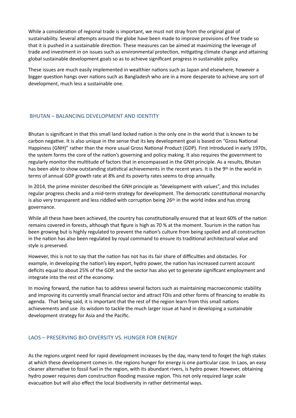While a consideration of regional trade is important, we must not stray from the original goal of sustainability. Several attempts around the globe have been made to improve provisions of free trade so that it is pushed in a sustainable direction. These measures can be aimed at maximizing the leverage of trade and investment in on issues such as environmental protection, mitigating climate change and attaining global sustainable development goals so as to achieve significant progress in sustainable policy.

These issues are much easily implemented in wealthier nations such as Japan and elsewhere, however a bigger question hangs over nations such as Bangladesh who are in a more desperate to achieve any sort of development, much less a sustainable one.

#### BHUTAN – BALANCING DEVELOPMENT AND IDENTITY

Bhutan is significant in that this small land locked nation is the only one in the world that is known to be carbon negative. It is also unique in the sense that its key development goal is based on "Gross National Happiness (GNH)" rather than the more usual Gross National Product (GDP). First introduced in early 1970s, the system forms the core of the nation's governing and policy making. It also requires the government to regularly monitor the multitude of factors that in encompassed in the GNH principle. As a results, Bhutan has been able to show outstanding statistical achievements in the recent years. It is the 9th in the world in terms of annual GDP growth rate at 8% and its poverty rates seems to drop annually.

In 2014, the prime minister described the GNH principle as "development with values", and this includes regular progress checks and a mid-term strategy for development. The democratic constitutional monarchy is also very transparent and less riddled with corruption being  $26<sup>th</sup>$  in the world index and has strong governance. 

While all these have been achieved, the country has constitutionally ensured that at least 60% of the nation remains covered in forests, although that figure is high as 70 % at the moment. Tourism in the nation has been growing but is highly regulated to prevent the nation's culture from being spoiled and all construction in the nation has also been regulated by royal command to ensure its traditional architectural value and style is preserved.

However, this is not to say that the nation has not has its fair share of difficulties and obstacles. For example, in developing the nation's key export, hydro power, the nation has increased current account deficits equal to about 25% of the GDP, and the sector has also yet to generate significant employment and integrate into the rest of the economy.

In moving forward, the nation has to address several factors such as maintaining macroeconomic stability and improving its currently small financial sector and attract FDIs and other forms of financing to enable its agenda. That being said, it is important that the rest of the region learn from this small nations achievements and use its wisdom to tackle the much larger issue at hand in developing a sustainable development strategy for Asia and the Pacific.

#### LAOS - PRESERVING BIO-DIVERSITY VS. HUNGER FOR ENERGY

As the regions urgent need for rapid development increases by the day, many tend to forget the high stakes at which these development comes in. the regions hunger for energy is one particular case. In Laos, an easy cleaner alternative to fossil fuel in the region, with its abundant rivers, is hydro power. However, obtaining hydro power requires dam construction flooding massive region. This not only required large scale evacuation but will also effect the local biodiversity in rather detrimental ways.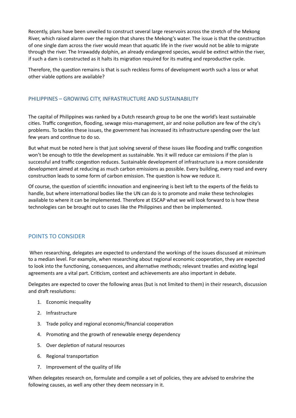Recently, plans have been unveiled to construct several large reservoirs across the stretch of the Mekong River, which raised alarm over the region that shares the Mekong's water. The issue is that the construction of one single dam across the river would mean that aquatic life in the river would not be able to migrate through the river. The Irrawaddy dolphin, an already endangered species, would be extinct within the river, if such a dam is constructed as it halts its migration required for its mating and reproductive cycle.

Therefore, the question remains is that is such reckless forms of development worth such a loss or what other viable options are available?

#### PHILIPPINES - GROWING CITY, INFRASTRUCTURE AND SUSTAINABILITY

The capital of Philippines was ranked by a Dutch research group to be one the world's least sustainable cities. Traffic congestion, flooding, sewage miss-management, air and noise pollution are few of the city's problems. To tackles these issues, the government has increased its infrastructure spending over the last few years and continue to do so.

But what must be noted here is that just solving several of these issues like flooding and traffic congestion won't be enough to title the development as sustainable. Yes it will reduce car emissions if the plan is successful and traffic congestion reduces. Sustainable development of infrastructure is a more considerate development aimed at reducing as much carbon emissions as possible. Every building, every road and every construction leads to some form of carbon emission. The question is how we reduce it.

Of course, the question of scientific innovation and engineering is best left to the experts of the fields to handle, but where international bodies like the UN can do is to promote and make these technologies available to where it can be implemented. Therefore at ESCAP what we will look forward to is how these technologies can be brought out to cases like the Philippines and then be implemented.

#### POINTS TO CONSIDER

When researching, delegates are expected to understand the workings of the issues discussed at minimum to a median level. For example, when researching about regional economic cooperation, they are expected to look into the functioning, consequences, and alternative methods; relevant treaties and existing legal agreements are a vital part. Criticism, context and achievements are also important in debate.

Delegates are expected to cover the following areas (but is not limited to them) in their research, discussion and draft resolutions:

- 1. Economic inequality
- 2. Infrastructure
- 3. Trade policy and regional economic/financial cooperation
- 4. Promoting and the growth of renewable energy dependency
- 5. Over depletion of natural resources
- 6. Regional transportation
- 7. Improvement of the quality of life

When delegates research on, formulate and compile a set of policies, they are advised to enshrine the following causes, as well any other they deem necessary in it.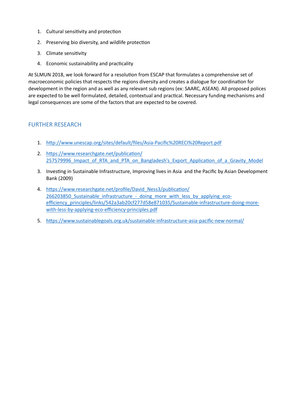- 1. Cultural sensitivity and protection
- 2. Preserving bio diversity, and wildlife protection
- 3. Climate sensitivity
- 4. Economic sustainability and practicality

At SLMUN 2018, we look forward for a resolution from ESCAP that formulates a comprehensive set of macroeconomic policies that respects the regions diversity and creates a dialogue for coordination for development in the region and as well as any relevant sub regions (ex: SAARC, ASEAN). All proposed polices are expected to be well formulated, detailed, contextual and practical. Necessary funding mechanisms and legal consequences are some of the factors that are expected to be covered.

#### **FURTHER RESEARCH**

- 1. http://www.unescap.org/sites/default/files/Asia-Pacific%20RECI%20Report.pdf
- 2. https://www.researchgate.net/publication/ 257579996 Impact of RTA and PTA on Bangladesh's Export Application of a Gravity Model
- 3. Investing in Sustainable Infrastructure, Improving lives in Asia and the Pacific by Asian Development Bank (2009)
- 4. https://www.researchgate.net/profile/David\_Ness3/publication/ 266203850 Sustainable infrastructure - doing more with less by applying eco[efficiency\\_principles/links/542a3ab20cf277d58e871035/Sustainable-infrastructure-doing-more](https://www.researchgate.net/profile/David_Ness3/publication/266203850_Sustainable_infrastructure_-_doing_more_with_less_by_applying_eco-efficiency_principles/links/542a3ab20cf277d58e871035/Sustainable-infrastructure-doing-more-with-less-by-applying-eco-efficiency-principles.pdf)[with-less-by-applying-eco-efficiency-principles.pdf](https://www.researchgate.net/profile/David_Ness3/publication/266203850_Sustainable_infrastructure_-_doing_more_with_less_by_applying_eco-efficiency_principles/links/542a3ab20cf277d58e871035/Sustainable-infrastructure-doing-more-with-less-by-applying-eco-efficiency-principles.pdf)
- 5. https://www.sustainablegoals.org.uk/sustainable-infrastructure-asia-pacific-new-normal/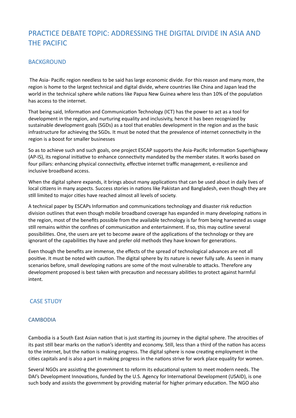## PRACTICE DEBATE TOPIC: ADDRESSING THE DIGITAL DIVIDE IN ASIA AND **THE PACIFIC**

#### **BACKGROUND**

The Asia- Pacific region needless to be said has large economic divide. For this reason and many more, the region is home to the largest technical and digital divide, where countries like China and Japan lead the world in the technical sphere while nations like Papua New Guinea where less than 10% of the population has access to the internet.

That being said, Information and Communication Technology (ICT) has the power to act as a tool for development in the region, and nurturing equality and inclusivity, hence it has been recognized by sustainable development goals (SGDs) as a tool that enables development in the region and as the basic infrastructure for achieving the SGDs. It must be noted that the prevalence of internet connectivity in the region is a boost for smaller businesses

So as to achieve such and such goals, one project ESCAP supports the Asia-Pacific Information Superhighway (AP-IS), its regional initiative to enhance connectivity mandated by the member states. It works based on four pillars: enhancing physical connectivity, effective internet traffic management, e-resilience and inclusive broadband access.

When the digital sphere expands, it brings about many applications that can be used about in daily lives of local citizens in many aspects. Success stories in nations like Pakistan and Bangladesh, even though they are still limited to major cities have reached almost all levels of society.

A technical paper by ESCAPs Information and communications technology and disaster risk reduction division outlines that even though mobile broadband coverage has expanded in many developing nations in the region, most of the benefits possible from the available technology is far from being harvested as usage still remains within the confines of communication and entertainment. If so, this may outline several possibilities. One, the users are vet to become aware of the applications of the technology or they are ignorant of the capabilities thy have and prefer old methods they have known for generations.

Even though the benefits are immense, the effects of the spread of technological advances are not all positive. It must be noted with caution. The digital sphere by its nature is never fully safe. As seen in many scenarios before, small developing nations are some of the most vulnerable to attacks. Therefore any development proposed is best taken with precaution and necessary abilities to protect against harmful intent. 

#### **CASE STUDY**

#### **CAMBODIA**

Cambodia is a South East Asian nation that is just starting its journey in the digital sphere. The atrocities of its past still bear marks on the nation's identity and economy. Still, less than a third of the nation has access to the internet, but the nation is making progress. The digital sphere is now creating employment in the cities capitals and is also a part in making progress in the nations strive for work place equality for women.

Several NGOs are assisting the government to reform its educational system to meet modern needs. The DAI's Development Innovations, funded by the U.S. Agency for International Development (USAID), is one such body and assists the government by providing material for higher primary education. The NGO also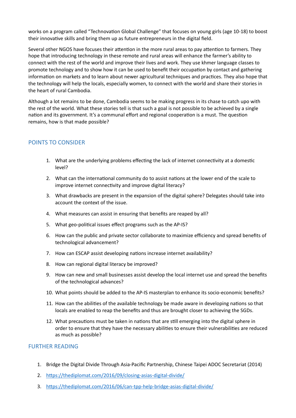works on a program called "Technovation Global Challenge" that focuses on young girls (age 10-18) to boost their innovative skills and bring them up as future entrepreneurs in the digital field.

Several other NGOS have focuses their attention in the more rural areas to pay attention to farmers. They hope that introducing technology in these remote and rural areas will enhance the farmer's ability to connect with the rest of the world and improve their lives and work. They use khmer language classes to promote technology and to show how it can be used to benefit their occupation by contact and gathering information on markets and to learn about newer agricultural techniques and practices. They also hope that the technology will help the locals, especially women, to connect with the world and share their stories in the heart of rural Cambodia.

Although a lot remains to be done. Cambodia seems to be making progress in its chase to catch upo with the rest of the world. What these stories tell is that such a goal is not possible to be achieved by a single nation and its government. It's a communal effort and regional cooperation is a must. The question remains, how is that made possible?

#### POINTS TO CONSIDER

- 1. What are the underlying problems effecting the lack of internet connectivity at a domestic level?
- 2. What can the international community do to assist nations at the lower end of the scale to improve internet connectivity and improve digital literacy?
- 3. What drawbacks are present in the expansion of the digital sphere? Delegates should take into account the context of the issue.
- 4. What measures can assist in ensuring that benefits are reaped by all?
- 5. What geo-political issues effect programs such as the AP-IS?
- 6. How can the public and private sector collaborate to maximize efficiency and spread benefits of technological advancement?
- 7. How can ESCAP assist developing nations increase internet availability?
- 8. How can regional digital literacy be improved?
- 9. How can new and small businesses assist develop the local internet use and spread the benefits of the technological advances?
- 10. What points should be added to the AP-IS masterplan to enhance its socio-economic benefits?
- 11. How can the abilities of the available technology be made aware in developing nations so that locals are enabled to reap the benefits and thus are brought closer to achieving the SGDs.
- 12. What precautions must be taken in nations that are still emerging into the digital sphere in order to ensure that they have the necessary abilities to ensure their vulnerabilities are reduced as much as possible?

#### FURTHER READING

- 1. Bridge the Digital Divide Through Asia-Pacific Partnership, Chinese Taipei ADOC Secretariat (2014)
- 2. https://thediplomat.com/2016/09/closing-asias-digital-divide/
- 3. https://thediplomat.com/2016/06/can-tpp-help-bridge-asias-digital-divide/